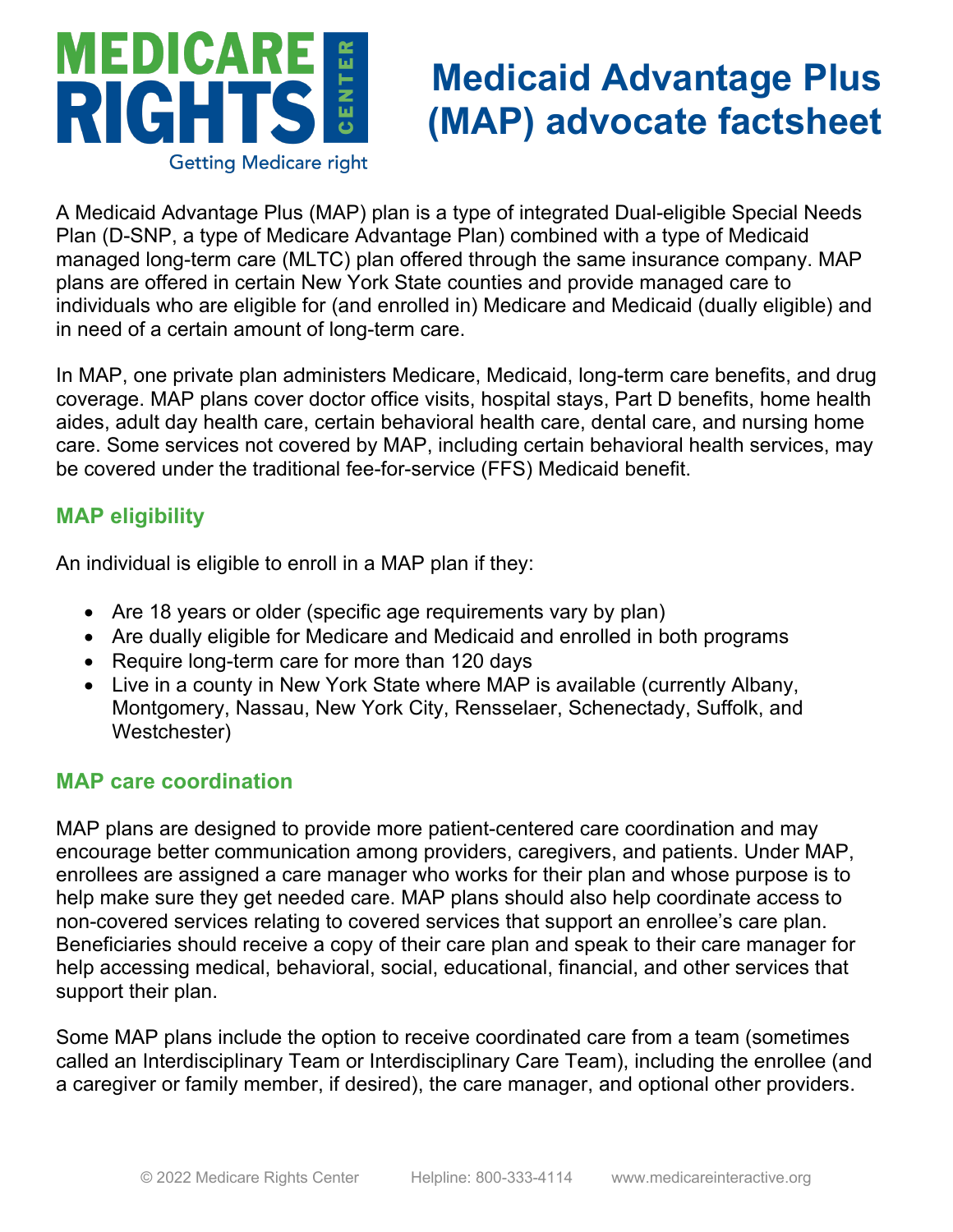

# **Medicaid Advantage Plus (MAP) advocate factsheet**

A Medicaid Advantage Plus (MAP) plan is a type of integrated Dual-eligible Special Needs Plan (D-SNP, a type of Medicare Advantage Plan) combined with a type of Medicaid managed long-term care (MLTC) plan offered through the same insurance company. MAP plans are offered in certain New York State counties and provide managed care to individuals who are eligible for (and enrolled in) Medicare and Medicaid (dually eligible) and in need of a certain amount of long-term care.

In MAP, one private plan administers Medicare, Medicaid, long-term care benefits, and drug coverage. MAP plans cover doctor office visits, hospital stays, Part D benefits, home health aides, adult day health care, certain behavioral health care, dental care, and nursing home care. Some services not covered by MAP, including certain behavioral health services, may be covered under the traditional fee-for-service (FFS) Medicaid benefit.

## **MAP eligibility**

An individual is eligible to enroll in a MAP plan if they:

- Are 18 years or older (specific age requirements vary by plan)
- Are dually eligible for Medicare and Medicaid and enrolled in both programs
- Require long-term care for more than 120 days
- Live in a county in New York State where MAP is available (currently Albany, Montgomery, Nassau, New York City, Rensselaer, Schenectady, Suffolk, and Westchester)

## **MAP care coordination**

MAP plans are designed to provide more patient-centered care coordination and may encourage better communication among providers, caregivers, and patients. Under MAP, enrollees are assigned a care manager who works for their plan and whose purpose is to help make sure they get needed care. MAP plans should also help coordinate access to non-covered services relating to covered services that support an enrollee's care plan. Beneficiaries should receive a copy of their care plan and speak to their care manager for help accessing medical, behavioral, social, educational, financial, and other services that support their plan.

Some MAP plans include the option to receive coordinated care from a team (sometimes called an Interdisciplinary Team or Interdisciplinary Care Team), including the enrollee (and a caregiver or family member, if desired), the care manager, and optional other providers.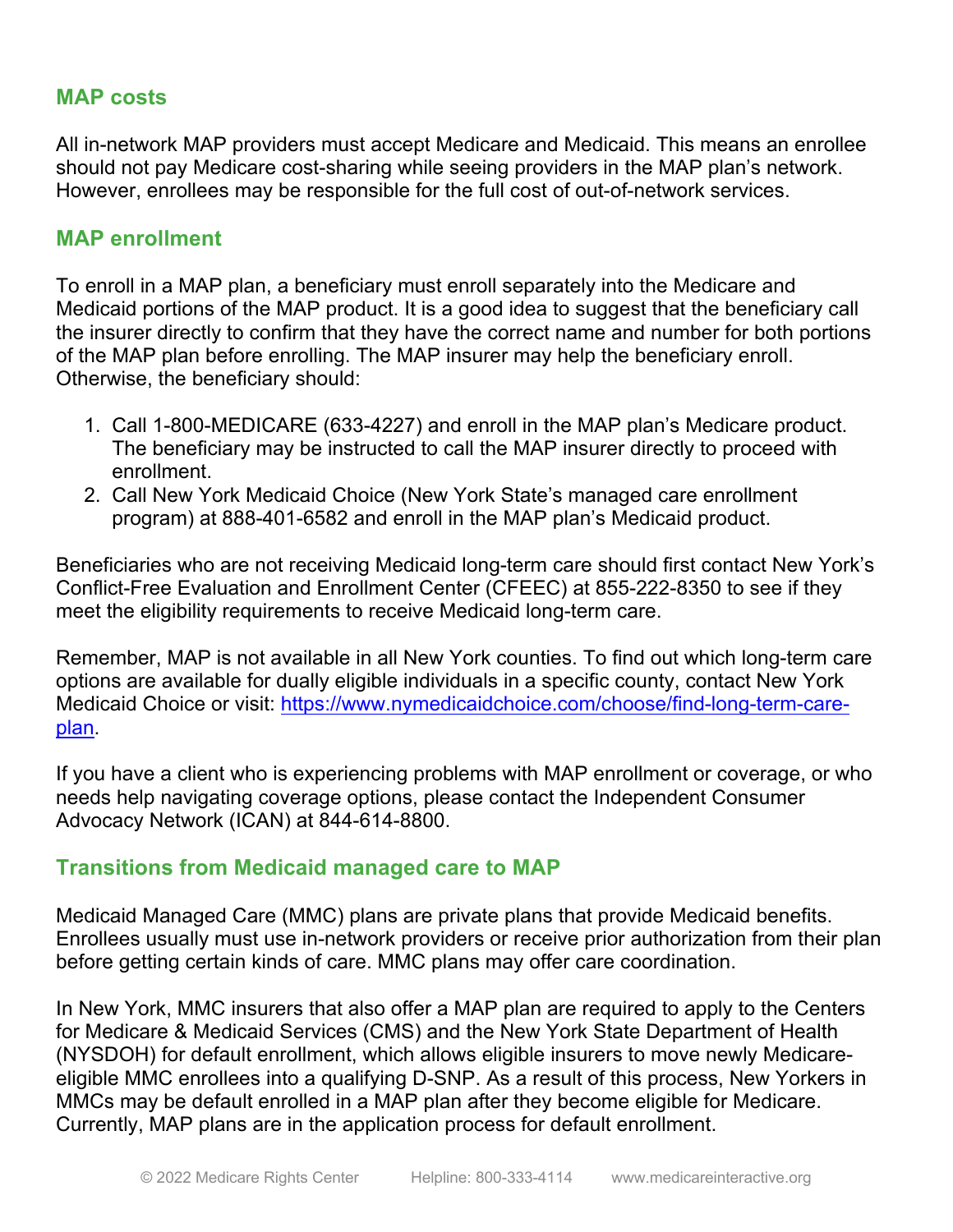### **MAP costs**

All in-network MAP providers must accept Medicare and Medicaid. This means an enrollee should not pay Medicare cost-sharing while seeing providers in the MAP plan's network. However, enrollees may be responsible for the full cost of out-of-network services.

#### **MAP enrollment**

To enroll in a MAP plan, a beneficiary must enroll separately into the Medicare and Medicaid portions of the MAP product. It is a good idea to suggest that the beneficiary call the insurer directly to confirm that they have the correct name and number for both portions of the MAP plan before enrolling. The MAP insurer may help the beneficiary enroll. Otherwise, the beneficiary should:

- 1. Call 1-800-MEDICARE (633-4227) and enroll in the MAP plan's Medicare product. The beneficiary may be instructed to call the MAP insurer directly to proceed with enrollment.
- 2. Call New York Medicaid Choice (New York State's managed care enrollment program) at 888-401-6582 and enroll in the MAP plan's Medicaid product.

Beneficiaries who are not receiving Medicaid long-term care should first contact New York's Conflict-Free Evaluation and Enrollment Center (CFEEC) at 855-222-8350 to see if they meet the eligibility requirements to receive Medicaid long-term care.

Remember, MAP is not available in all New York counties. To find out which long-term care options are available for dually eligible individuals in a specific county, contact New York Medicaid Choice or visit: https://www.nymedicaidchoice.com/choose/find-long-term-careplan.

If you have a client who is experiencing problems with MAP enrollment or coverage, or who needs help navigating coverage options, please contact the Independent Consumer Advocacy Network (ICAN) at 844-614-8800.

### **Transitions from Medicaid managed care to MAP**

Medicaid Managed Care (MMC) plans are private plans that provide Medicaid benefits. Enrollees usually must use in-network providers or receive prior authorization from their plan before getting certain kinds of care. MMC plans may offer care coordination.

In New York, MMC insurers that also offer a MAP plan are required to apply to the Centers for Medicare & Medicaid Services (CMS) and the New York State Department of Health (NYSDOH) for default enrollment, which allows eligible insurers to move newly Medicareeligible MMC enrollees into a qualifying D-SNP. As a result of this process, New Yorkers in MMCs may be default enrolled in a MAP plan after they become eligible for Medicare. Currently, MAP plans are in the application process for default enrollment.